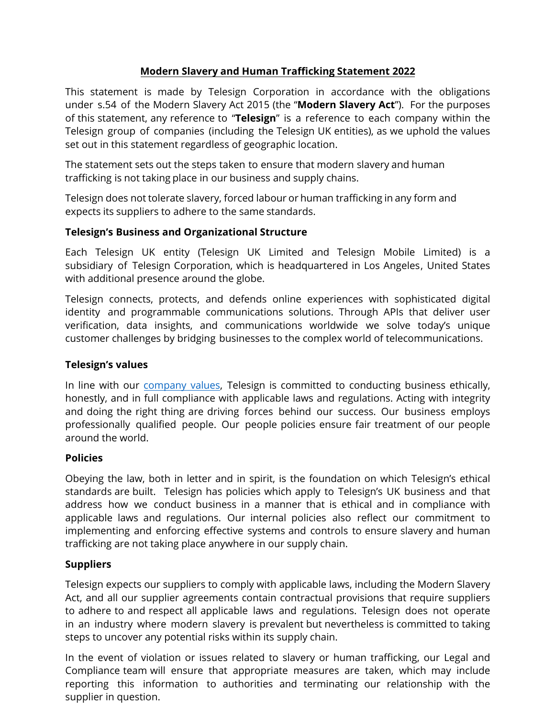## **Modern Slavery and Human Trafficking Statement 2022**

This statement is made by Telesign Corporation in accordance with the obligations under s.54 of the Modern Slavery Act 2015 (the "**Modern Slavery Act**").For the purposes of this statement, any reference to "**Telesign**" is a reference to each company within the Telesign group of companies (including the Telesign UK entities), as we uphold the values set out in this statement regardless of geographic location.

The statement sets out the steps taken to ensure that modern slavery and human trafficking is not taking place in our business and supply chains.

Telesign does not tolerate slavery, forced labour or human trafficking in any form and expects its suppliers to adhere to the same standards.

## **Telesign's Business and Organizational Structure**

Each Telesign UK entity (Telesign UK Limited and Telesign Mobile Limited) is a subsidiary of Telesign Corporation, which is headquartered in Los Angeles, United States with additional presence around the globe.

Telesign connects, protects, and defends online experiences with sophisticated digital identity and programmable communications solutions. Through APIs that deliver user verification, data insights, and communications worldwide we solve today's unique customer challenges by bridging businesses to the complex world of telecommunications.

#### **Telesign's values**

In line with our [company values,](https://www.telesign.com/company) Telesign is committed to conducting business ethically, honestly, and in full compliance with applicable laws and regulations. Acting with integrity and doing the right thing are driving forces behind our success. Our business employs professionally qualified people. Our people policies ensure fair treatment of our people around the world.

#### **Policies**

Obeying the law, both in letter and in spirit, is the foundation on which Telesign's ethical standards are built. Telesign has policies which apply to Telesign's UK business and that address how we conduct business in a manner that is ethical and in compliance with applicable laws and regulations. Our internal policies also reflect our commitment to implementing and enforcing effective systems and controls to ensure slavery and human trafficking are not taking place anywhere in our supply chain.

# **Suppliers**

Telesign expects our suppliers to comply with applicable laws, including the Modern Slavery Act, and all our supplier agreements contain contractual provisions that require suppliers to adhere to and respect all applicable laws and regulations. Telesign does not operate in an industry where modern slavery is prevalent but nevertheless is committed to taking steps to uncover any potential risks within its supply chain.

In the event of violation or issues related to slavery or human trafficking, our Legal and Compliance team will ensure that appropriate measures are taken, which may include reporting this information to authorities and terminating our relationship with the supplier in question.